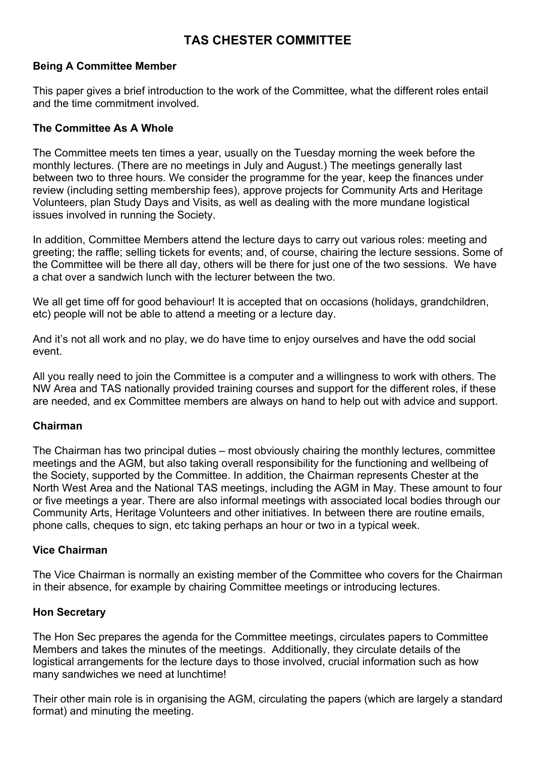# **TAS CHESTER COMMITTEE**

## **Being A Committee Member**

This paper gives a brief introduction to the work of the Committee, what the different roles entail and the time commitment involved.

#### **The Committee As A Whole**

The Committee meets ten times a year, usually on the Tuesday morning the week before the monthly lectures. (There are no meetings in July and August.) The meetings generally last between two to three hours. We consider the programme for the year, keep the finances under review (including setting membership fees), approve projects for Community Arts and Heritage Volunteers, plan Study Days and Visits, as well as dealing with the more mundane logistical issues involved in running the Society.

In addition, Committee Members attend the lecture days to carry out various roles: meeting and greeting; the raffle; selling tickets for events; and, of course, chairing the lecture sessions. Some of the Committee will be there all day, others will be there for just one of the two sessions. We have a chat over a sandwich lunch with the lecturer between the two.

We all get time off for good behaviour! It is accepted that on occasions (holidays, grandchildren, etc) people will not be able to attend a meeting or a lecture day.

And it's not all work and no play, we do have time to enjoy ourselves and have the odd social event.

All you really need to join the Committee is a computer and a willingness to work with others. The NW Area and TAS nationally provided training courses and support for the different roles, if these are needed, and ex Committee members are always on hand to help out with advice and support.

# **Chairman**

The Chairman has two principal duties – most obviously chairing the monthly lectures, committee meetings and the AGM, but also taking overall responsibility for the functioning and wellbeing of the Society, supported by the Committee. In addition, the Chairman represents Chester at the North West Area and the National TAS meetings, including the AGM in May. These amount to four or five meetings a year. There are also informal meetings with associated local bodies through our Community Arts, Heritage Volunteers and other initiatives. In between there are routine emails, phone calls, cheques to sign, etc taking perhaps an hour or two in a typical week.

#### **Vice Chairman**

The Vice Chairman is normally an existing member of the Committee who covers for the Chairman in their absence, for example by chairing Committee meetings or introducing lectures.

#### **Hon Secretary**

The Hon Sec prepares the agenda for the Committee meetings, circulates papers to Committee Members and takes the minutes of the meetings. Additionally, they circulate details of the logistical arrangements for the lecture days to those involved, crucial information such as how many sandwiches we need at lunchtime!

Their other main role is in organising the AGM, circulating the papers (which are largely a standard format) and minuting the meeting.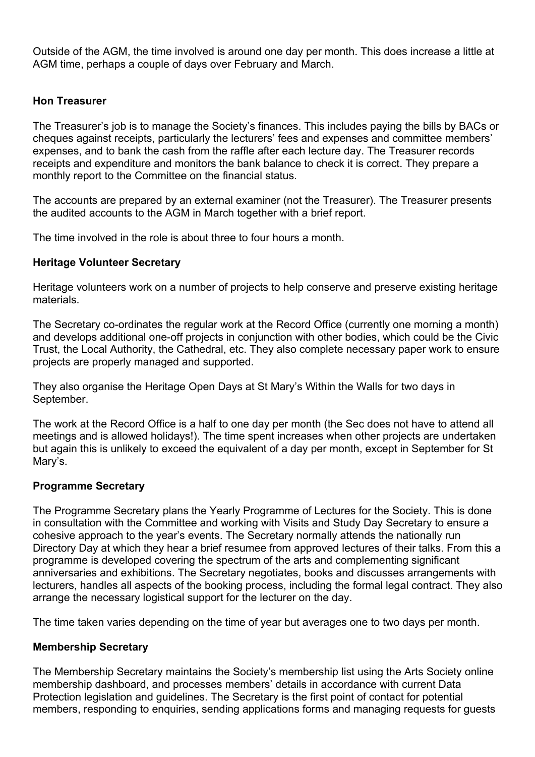Outside of the AGM, the time involved is around one day per month. This does increase a little at AGM time, perhaps a couple of days over February and March.

## **Hon Treasurer**

The Treasurer's job is to manage the Society's finances. This includes paying the bills by BACs or cheques against receipts, particularly the lecturers' fees and expenses and committee members' expenses, and to bank the cash from the raffle after each lecture day. The Treasurer records receipts and expenditure and monitors the bank balance to check it is correct. They prepare a monthly report to the Committee on the financial status.

The accounts are prepared by an external examiner (not the Treasurer). The Treasurer presents the audited accounts to the AGM in March together with a brief report.

The time involved in the role is about three to four hours a month.

#### **Heritage Volunteer Secretary**

Heritage volunteers work on a number of projects to help conserve and preserve existing heritage materials.

The Secretary co-ordinates the regular work at the Record Office (currently one morning a month) and develops additional one-off projects in conjunction with other bodies, which could be the Civic Trust, the Local Authority, the Cathedral, etc. They also complete necessary paper work to ensure projects are properly managed and supported.

They also organise the Heritage Open Days at St Mary's Within the Walls for two days in September.

The work at the Record Office is a half to one day per month (the Sec does not have to attend all meetings and is allowed holidays!). The time spent increases when other projects are undertaken but again this is unlikely to exceed the equivalent of a day per month, except in September for St Mary's.

#### **Programme Secretary**

The Programme Secretary plans the Yearly Programme of Lectures for the Society. This is done in consultation with the Committee and working with Visits and Study Day Secretary to ensure a cohesive approach to the year's events. The Secretary normally attends the nationally run Directory Day at which they hear a brief resumee from approved lectures of their talks. From this a programme is developed covering the spectrum of the arts and complementing significant anniversaries and exhibitions. The Secretary negotiates, books and discusses arrangements with lecturers, handles all aspects of the booking process, including the formal legal contract. They also arrange the necessary logistical support for the lecturer on the day.

The time taken varies depending on the time of year but averages one to two days per month.

#### **Membership Secretary**

The Membership Secretary maintains the Society's membership list using the Arts Society online membership dashboard, and processes members' details in accordance with current Data Protection legislation and guidelines. The Secretary is the first point of contact for potential members, responding to enquiries, sending applications forms and managing requests for guests